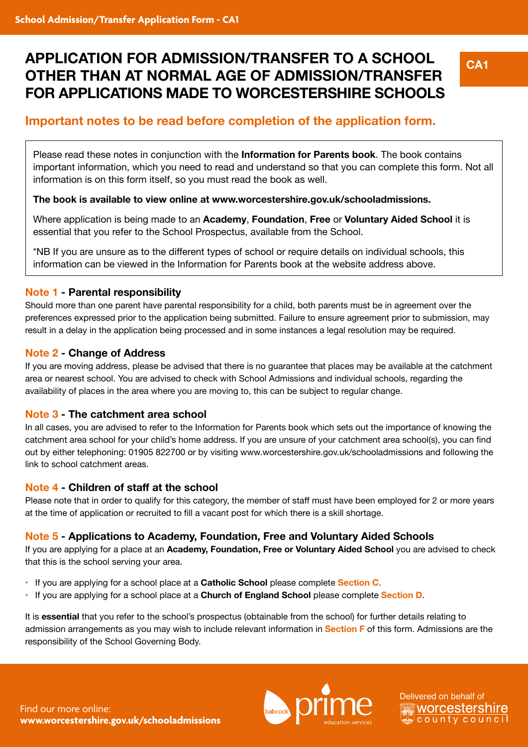# **APPLICATION FOR ADMISSION/TRANSFER TO A SCHOOL OTHER THAN AT NORMAL AGE OF ADMISSION/TRANSFER FOR APPLICATIONS MADE TO WORCESTERSHIRE SCHOOLS**

**CA1**

## **Important notes to be read before completion of the application form.**

Please read these notes in conjunction with the **Information for Parents book**. The book contains important information, which you need to read and understand so that you can complete this form. Not all information is on this form itself, so you must read the book as well.

#### **The book is available to view online at www.worcestershire.gov.uk/schooladmissions.**

Where application is being made to an **Academy**, **Foundation**, **Free** or **Voluntary Aided School** it is essential that you refer to the School Prospectus, available from the School.

\*NB If you are unsure as to the different types of school or require details on individual schools, this information can be viewed in the Information for Parents book at the website address above.

#### **Note 1 - Parental responsibility**

Should more than one parent have parental responsibility for a child, both parents must be in agreement over the preferences expressed prior to the application being submitted. Failure to ensure agreement prior to submission, may result in a delay in the application being processed and in some instances a legal resolution may be required.

#### **Note 2 - Change of Address**

If you are moving address, please be advised that there is no guarantee that places may be available at the catchment area or nearest school. You are advised to check with School Admissions and individual schools, regarding the availability of places in the area where you are moving to, this can be subject to regular change.

#### **Note 3 - The catchment area school**

In all cases, you are advised to refer to the Information for Parents book which sets out the importance of knowing the catchment area school for your child's home address. If you are unsure of your catchment area school(s), you can find out by either telephoning: 01905 822700 or by visiting www.worcestershire.gov.uk/schooladmissions and following the link to school catchment areas.

#### **Note 4 - Children of staff at the school**

Please note that in order to qualify for this category, the member of staff must have been employed for 2 or more years at the time of application or recruited to fill a vacant post for which there is a skill shortage.

#### **Note 5 - Applications to Academy, Foundation, Free and Voluntary Aided Schools**

If you are applying for a place at an **Academy, Foundation, Free or Voluntary Aided School** you are advised to check that this is the school serving your area.

- If you are applying for a school place at a **Catholic School** please complete **Section C**.
- If you are applying for a school place at a **Church of England School** please complete **Section D**.

It is **essential** that you refer to the school's prospectus (obtainable from the school) for further details relating to admission arrangements as you may wish to include relevant information in **Section F** of this form. Admissions are the responsibility of the School Governing Body.

Find our more online: **www.worcestershire.gov.uk/schooladmissions**



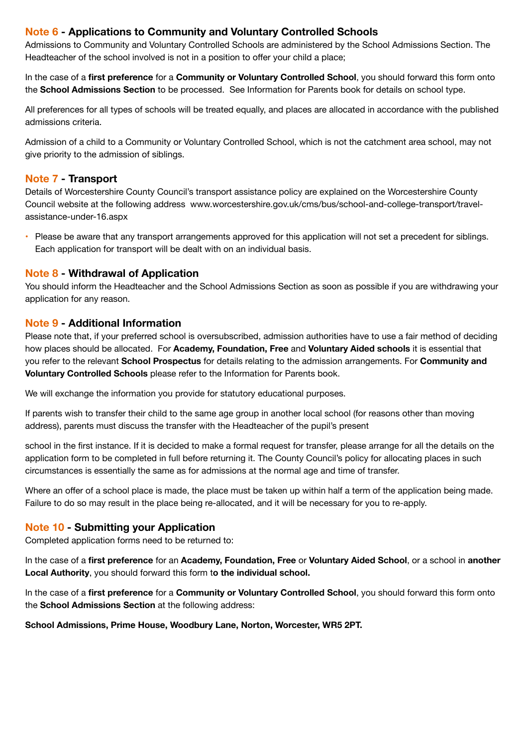#### **Note 6 - Applications to Community and Voluntary Controlled Schools**

Admissions to Community and Voluntary Controlled Schools are administered by the School Admissions Section. The Headteacher of the school involved is not in a position to offer your child a place;

In the case of a **first preference** for a **Community or Voluntary Controlled School**, you should forward this form onto the **School Admissions Section** to be processed. See Information for Parents book for details on school type.

All preferences for all types of schools will be treated equally, and places are allocated in accordance with the published admissions criteria.

Admission of a child to a Community or Voluntary Controlled School, which is not the catchment area school, may not give priority to the admission of siblings.

#### **Note 7 - Transport**

Details of Worcestershire County Council's transport assistance policy are explained on the Worcestershire County Council website at the following address www.worcestershire.gov.uk/cms/bus/school-and-college-transport/travelassistance-under-16.aspx

• Please be aware that any transport arrangements approved for this application will not set a precedent for siblings. Each application for transport will be dealt with on an individual basis.

#### **Note 8 - Withdrawal of Application**

You should inform the Headteacher and the School Admissions Section as soon as possible if you are withdrawing your application for any reason.

#### **Note 9 - Additional Information**

Please note that, if your preferred school is oversubscribed, admission authorities have to use a fair method of deciding how places should be allocated. For **Academy, Foundation, Free** and **Voluntary Aided schools** it is essential that you refer to the relevant **School Prospectus** for details relating to the admission arrangements. For **Community and Voluntary Controlled Schools** please refer to the Information for Parents book.

We will exchange the information you provide for statutory educational purposes.

If parents wish to transfer their child to the same age group in another local school (for reasons other than moving address), parents must discuss the transfer with the Headteacher of the pupil's present

school in the first instance. If it is decided to make a formal request for transfer, please arrange for all the details on the application form to be completed in full before returning it. The County Council's policy for allocating places in such circumstances is essentially the same as for admissions at the normal age and time of transfer.

Where an offer of a school place is made, the place must be taken up within half a term of the application being made. Failure to do so may result in the place being re-allocated, and it will be necessary for you to re-apply.

#### **Note 10 - Submitting your Application**

Completed application forms need to be returned to:

In the case of a **first preference** for an **Academy, Foundation, Free** or **Voluntary Aided School**, or a school in **another Local Authority**, you should forward this form t**o the individual school.**

In the case of a **first preference** for a **Community or Voluntary Controlled School**, you should forward this form onto the **School Admissions Section** at the following address:

**School Admissions, Prime House, Woodbury Lane, Norton, Worcester, WR5 2PT.**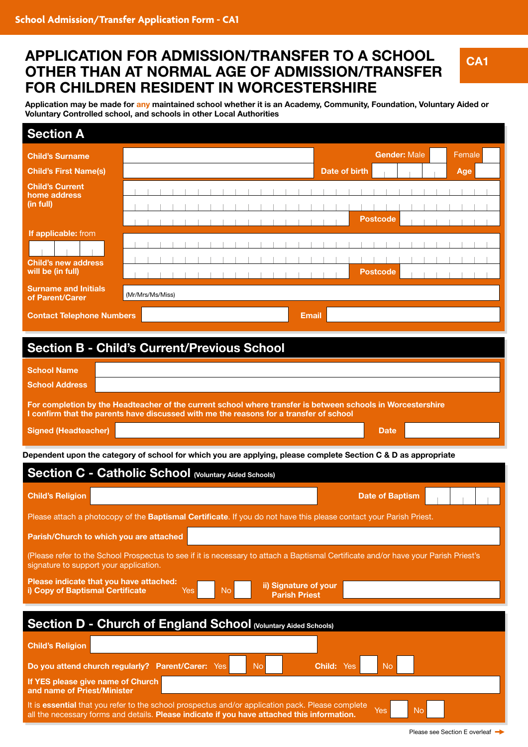## **APPLICATION FOR ADMISSION/TRANSFER TO A SCHOOL OTHER THAN AT NORMAL AGE OF ADMISSION/TRANSFER FOR CHILDREN RESIDENT IN WORCESTERSHIRE**

**Application may be made for any maintained school whether it is an Academy, Community, Foundation, Voluntary Aided or Voluntary Controlled school, and schools in other Local Authorities**

| <b>Section A</b>                                                                                                                                                                                                                                    |                                                                                                                    |                                    |  |  |  |
|-----------------------------------------------------------------------------------------------------------------------------------------------------------------------------------------------------------------------------------------------------|--------------------------------------------------------------------------------------------------------------------|------------------------------------|--|--|--|
| <b>Child's Surname</b>                                                                                                                                                                                                                              |                                                                                                                    | <b>Gender: Male</b><br>Female      |  |  |  |
| <b>Child's First Name(s)</b>                                                                                                                                                                                                                        |                                                                                                                    | Date of birth<br>Age               |  |  |  |
| <b>Child's Current</b><br>home address<br>(in full)                                                                                                                                                                                                 |                                                                                                                    |                                    |  |  |  |
| If applicable: from<br><b>Child's new address</b><br>will be (in full)<br><b>Surname and Initials</b>                                                                                                                                               |                                                                                                                    | <b>Postcode</b><br><b>Postcode</b> |  |  |  |
| of Parent/Carer                                                                                                                                                                                                                                     | (Mr/Mrs/Ms/Miss)                                                                                                   |                                    |  |  |  |
| <b>Contact Telephone Numbers</b>                                                                                                                                                                                                                    |                                                                                                                    | <b>Email</b>                       |  |  |  |
| <b>Section B - Child's Current/Previous School</b>                                                                                                                                                                                                  |                                                                                                                    |                                    |  |  |  |
| <b>School Name</b><br><b>School Address</b>                                                                                                                                                                                                         |                                                                                                                    |                                    |  |  |  |
| For completion by the Headteacher of the current school where transfer is between schools in Worcestershire<br>I confirm that the parents have discussed with me the reasons for a transfer of school<br><b>Signed (Headteacher)</b><br><b>Date</b> |                                                                                                                    |                                    |  |  |  |
|                                                                                                                                                                                                                                                     |                                                                                                                    |                                    |  |  |  |
| Dependent upon the category of school for which you are applying, please complete Section C & D as appropriate<br><b>Section C - Catholic School (Voluntary Aided Schools)</b>                                                                      |                                                                                                                    |                                    |  |  |  |
|                                                                                                                                                                                                                                                     |                                                                                                                    |                                    |  |  |  |
| <b>Child's Religion</b>                                                                                                                                                                                                                             |                                                                                                                    | <b>Date of Baptism</b>             |  |  |  |
|                                                                                                                                                                                                                                                     | Please attach a photocopy of the Baptismal Certificate. If you do not have this please contact your Parish Priest. |                                    |  |  |  |
| Parish/Church to which you are attached                                                                                                                                                                                                             |                                                                                                                    |                                    |  |  |  |
| (Please refer to the School Prospectus to see if it is necessary to attach a Baptismal Certificate and/or have your Parish Priest's<br>signature to support your application.                                                                       |                                                                                                                    |                                    |  |  |  |
| Please indicate that you have attached:<br>ii) Signature of your<br>i) Copy of Baptismal Certificate<br><b>No</b><br>Yes<br><b>Parish Priest</b>                                                                                                    |                                                                                                                    |                                    |  |  |  |
| Section D - Church of England School (Voluntary Aided Schools)                                                                                                                                                                                      |                                                                                                                    |                                    |  |  |  |
| <b>Child's Religion</b>                                                                                                                                                                                                                             |                                                                                                                    |                                    |  |  |  |
|                                                                                                                                                                                                                                                     |                                                                                                                    |                                    |  |  |  |
| Do you attend church regularly? Parent/Carer: Yes<br><b>No</b><br><b>No</b><br><b>Child: Yes</b><br>If YES please give name of Church                                                                                                               |                                                                                                                    |                                    |  |  |  |
| and name of Priest/Minister                                                                                                                                                                                                                         |                                                                                                                    |                                    |  |  |  |
| It is essential that you refer to the school prospectus and/or application pack. Please complete<br>Yes<br><b>No</b><br>all the necessary forms and details. Please indicate if you have attached this information.                                 |                                                                                                                    |                                    |  |  |  |

**CA1**